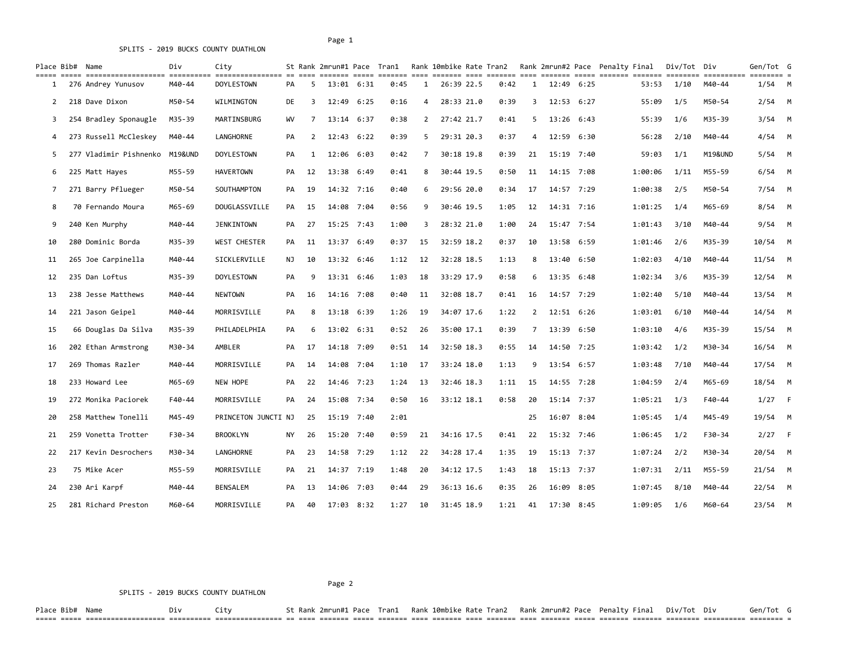SPLITS - 2019 BUCKS COUNTY DUATHLON

## Page 1

|    | Place Bib# Name        | Div     | City                |     |    |                    |            | St Rank 2mrun#1 Pace Tran1 |     | Rank 10mbike Rate Tran2 |      |                |                |      | Rank 2mrun#2 Pace Penalty Final                                                                   | Div/Tot Div |         | Gen/Tot G |  |
|----|------------------------|---------|---------------------|-----|----|--------------------|------------|----------------------------|-----|-------------------------|------|----------------|----------------|------|---------------------------------------------------------------------------------------------------|-------------|---------|-----------|--|
| 1  | 276 Andrey Yunusov     | M40-44  | <b>DOYLESTOWN</b>   | PA. | 5  | 13:01 6:31         |            | 0:45                       | 1   | 26:39 22.5              | 0:42 | 1              | $12:49$ $6:25$ |      | scence coo concer coo concer coo concer coo concer concer concer concer concerne concern<br>53:53 | 1/10        | M40-44  | $1/54$ M  |  |
| 2  | 218 Dave Dixon         | M50-54  | <b>WILMINGTON</b>   | DE  | 3  | $12:49$ 6:25       |            | 0:16                       | 4   | 28:33 21.0              | 0:39 | 3              | $12:53$ $6:27$ |      | 55:09                                                                                             | 1/5         | M50-54  | $2/54$ M  |  |
| 3  | 254 Bradley Sponaugle  | M35-39  | MARTINSBURG         | WV  | 7  | 13:14 6:37         |            | 0:38                       | 2   | 27:42 21.7              | 0:41 | 5              | 13:26          | 6:43 | 55:39                                                                                             | 1/6         | M35-39  | $3/54$ M  |  |
| 4  | 273 Russell McCleskey  | M40-44  | LANGHORNE           | PA  | 2  | $12:43 \quad 6:22$ |            | 0:39                       | 5   | 29:31 20.3              | 0:37 | 4              | 12:59          | 6:30 | 56:28                                                                                             | 2/10        | M40-44  | $4/54$ M  |  |
| 5  | 277 Vladimir Pishnenko | M19&UND | <b>DOYLESTOWN</b>   | PA  | 1  | 12:06 6:03         |            | 0:42                       | 7   | 30:18 19.8              | 0:39 | 21             | 15:19          | 7:40 | 59:03                                                                                             | 1/1         | M19&UND | $5/54$ M  |  |
| 6  | 225 Matt Hayes         | M55-59  | <b>HAVERTOWN</b>    | PA  | 12 | 13:38 6:49         |            | 0:41                       | 8   | 30:44 19.5              | 0:50 | 11             | 14:15          | 7:08 | 1:00:06                                                                                           | 1/11        | M55-59  | $6/54$ M  |  |
| 7  | 271 Barry Pflueger     | M50-54  | SOUTHAMPTON         | PA  | 19 | 14:32 7:16         |            | 0:40                       | 6   | 29:56 20.0              | 0:34 | 17             | 14:57 7:29     |      | 1:00:38                                                                                           | 2/5         | M50-54  | 7/54 M    |  |
| 8  | 70 Fernando Moura      | M65-69  | DOUGLASSVILLE       | PA  | 15 |                    | 14:08 7:04 | 0:56                       | 9   | 30:46 19.5              | 1:05 | 12             | 14:31 7:16     |      | 1:01:25                                                                                           | 1/4         | M65-69  | $8/54$ M  |  |
| 9  | 240 Ken Murphy         | M40-44  | JENKINTOWN          | PA  | 27 | 15:25 7:43         |            | 1:00                       | 3   | 28:32 21.0              | 1:00 | 24             | 15:47 7:54     |      | 1:01:43                                                                                           | 3/10        | M40-44  | $9/54$ M  |  |
| 10 | 280 Dominic Borda      | M35-39  | <b>WEST CHESTER</b> | PA  | 11 | 13:37 6:49         |            | 0:37                       | 15  | 32:59 18.2              | 0:37 | 10             | 13:58 6:59     |      | 1:01:46                                                                                           | 2/6         | M35-39  | 10/54 M   |  |
| 11 | 265 Joe Carpinella     | M40-44  | SICKLERVILLE        | NJ  | 10 | 13:32 6:46         |            | 1:12                       | 12  | 32:28 18.5              | 1:13 | 8              | 13:40          | 6:50 | 1:02:03                                                                                           | 4/10        | M40-44  | $11/54$ M |  |
| 12 | 235 Dan Loftus         | M35-39  | <b>DOYLESTOWN</b>   | PA  | 9  | 13:31 6:46         |            | 1:03                       | 18  | 33:29 17.9              | 0:58 | 6              | 13:35 6:48     |      | 1:02:34                                                                                           | 3/6         | M35-39  | $12/54$ M |  |
| 13 | 238 Jesse Matthews     | M40-44  | <b>NEWTOWN</b>      | PA  | 16 | 14:16 7:08         |            | 0:40                       | 11  | 32:08 18.7              | 0:41 | 16             | 14:57 7:29     |      | 1:02:40                                                                                           | 5/10        | M40-44  | $13/54$ M |  |
| 14 | 221 Jason Geipel       | M40-44  | MORRISVILLE         | PA  | 8  | 13:18 6:39         |            | 1:26                       | 19  | 34:07 17.6              | 1:22 | $\overline{2}$ | $12:51$ $6:26$ |      | 1:03:01                                                                                           | 6/10        | M40-44  | $14/54$ M |  |
| 15 | 66 Douglas Da Silva    | M35-39  | PHILADELPHIA        | PA  | 6  | 13:02 6:31         |            | 0:52                       | -26 | 35:00 17.1              | 0:39 | 7              | 13:39          | 6:50 | 1:03:10                                                                                           | 4/6         | M35-39  | $15/54$ M |  |
| 16 | 202 Ethan Armstrong    | M30-34  | AMBLER              | PA  | 17 |                    | 14:18 7:09 | 0:51                       | 14  | 32:50 18.3              | 0:55 | 14             | 14:50          | 7:25 | 1:03:42                                                                                           | 1/2         | M30-34  | $16/54$ M |  |
| 17 | 269 Thomas Razler      | M40-44  | MORRISVILLE         | PA  | 14 |                    | 14:08 7:04 | 1:10                       | 17  | 33:24 18.0              | 1:13 | 9              | 13:54 6:57     |      | 1:03:48                                                                                           | 7/10        | M40-44  | $17/54$ M |  |
| 18 | 233 Howard Lee         | M65-69  | <b>NEW HOPE</b>     | PA  | 22 | 14:46 7:23         |            | 1:24                       | 13  | 32:46 18.3              | 1:11 | 15             | 14:55 7:28     |      | 1:04:59                                                                                           | 2/4         | M65-69  | 18/54 M   |  |
| 19 | 272 Monika Paciorek    | F40-44  | MORRISVILLE         | PA  | 24 | 15:08 7:34         |            | 0:50                       | 16  | 33:12 18.1              | 0:58 | 20             | $15:14$ 7:37   |      | 1:05:21                                                                                           | 1/3         | F40-44  | $1/27$ F  |  |
| 20 | 258 Matthew Tonelli    | M45-49  | PRINCETON JUNCTI NJ |     | 25 | 15:19 7:40         |            | 2:01                       |     |                         |      | 25             | 16:07 8:04     |      | 1:05:45                                                                                           | 1/4         | M45-49  | 19/54 M   |  |
| 21 | 259 Vonetta Trotter    | F30-34  | <b>BROOKLYN</b>     | NY. | 26 | 15:20 7:40         |            | 0:59                       | 21  | 34:16 17.5              | 0:41 | 22             | 15:32 7:46     |      | 1:06:45                                                                                           | 1/2         | F30-34  | $2/27$ F  |  |
| 22 | 217 Kevin Desrochers   | M30-34  | LANGHORNE           | PA  | 23 | 14:58 7:29         |            | 1:12                       | 22  | 34:28 17.4              | 1:35 | 19             | $15:13$ 7:37   |      | 1:07:24                                                                                           | 2/2         | M30-34  | 20/54 M   |  |
| 23 | 75 Mike Acer           | M55-59  | MORRISVILLE         | PA  | 21 |                    | 14:37 7:19 | 1:48                       | 20  | 34:12 17.5              | 1:43 | 18             | $15:13$ 7:37   |      | 1:07:31                                                                                           | 2/11        | M55-59  | $21/54$ M |  |
| 24 | 230 Ari Karpf          | M40-44  | BENSALEM            | PA  | 13 | 14:06 7:03         |            | 0:44                       | -29 | 36:13 16.6              | 0:35 | 26             | 16:09          | 8:05 | 1:07:45                                                                                           | 8/10        | M40-44  | $22/54$ M |  |
| 25 | 281 Richard Preston    | M60-64  | MORRISVILLE         | PA  | 40 | 17:03 8:32         |            | 1:27                       | 10  | 31:45 18.9              | 1:21 | 41             | 17:30 8:45     |      | 1:09:05                                                                                           | 1/6         | M60-64  | $23/54$ M |  |

## SPLITS - 2019 BUCKS COUNTY DUATHLON

Place Bib# Name Div City St Rank 2mrun#1 Pace Tran1 Rank 10mbike Rate Tran2 Rank 2mrun#2 Pace Penalty Final Div/Tot Div Gen/Tot G ===== ===== =================== ========== ================ == ==== ======= ===== ======= ==== ======= ==== ======= ==== ======= ===== ======= ======= ======== ========== ======== =

Page 2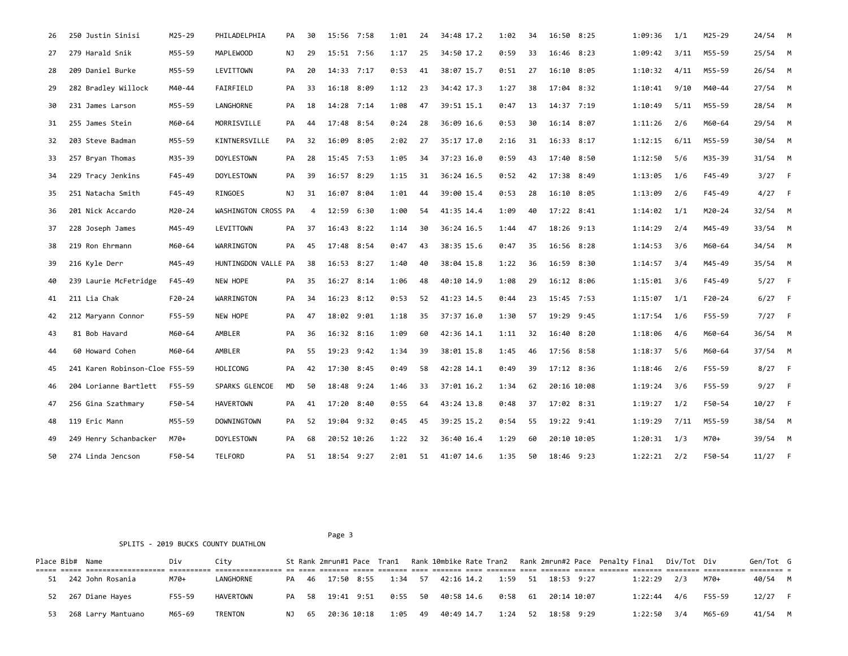| 26 | 250 Justin Sinisi              | M25-29     | PHILADELPHIA        | PA | 30 | 15:56 7:58  |      | 1:01 | 24 | 34:48 17.2 | 1:02 | 34 | 16:50 8:25  | 1:09:36 | 1/1  | M25-29     | $24/54$ M |  |
|----|--------------------------------|------------|---------------------|----|----|-------------|------|------|----|------------|------|----|-------------|---------|------|------------|-----------|--|
| 27 | 279 Harald Snik                | M55-59     | <b>MAPLEWOOD</b>    | NJ | 29 | 15:51 7:56  |      | 1:17 | 25 | 34:50 17.2 | 0:59 | 33 | 16:46 8:23  | 1:09:42 | 3/11 | M55-59     | 25/54 M   |  |
| 28 | 209 Daniel Burke               | M55-59     | LEVITTOWN           | PA | 20 | 14:33 7:17  |      | 0:53 | 41 | 38:07 15.7 | 0:51 | 27 | 16:10 8:05  | 1:10:32 | 4/11 | M55-59     | $26/54$ M |  |
| 29 | 282 Bradley Willock            | M40-44     | FAIRFIELD           | PA | 33 | 16:18 8:09  |      | 1:12 | 23 | 34:42 17.3 | 1:27 | 38 | 17:04 8:32  | 1:10:41 | 9/10 | M40-44     | 27/54 M   |  |
| 30 | 231 James Larson               | M55-59     | LANGHORNE           | PA | 18 | 14:28 7:14  |      | 1:08 | 47 | 39:51 15.1 | 0:47 | 13 | 14:37 7:19  | 1:10:49 | 5/11 | M55-59     | 28/54 M   |  |
| 31 | 255 James Stein                | M60-64     | MORRISVILLE         | PA | 44 | 17:48 8:54  |      | 0:24 | 28 | 36:09 16.6 | 0:53 | 30 | 16:14 8:07  | 1:11:26 | 2/6  | M60-64     | 29/54 M   |  |
| 32 | 203 Steve Badman               | M55-59     | KINTNERSVILLE       | PA | 32 | 16:09       | 8:05 | 2:02 | 27 | 35:17 17.0 | 2:16 | 31 | 16:33 8:17  | 1:12:15 | 6/11 | M55-59     | 30/54 M   |  |
| 33 | 257 Bryan Thomas               | M35-39     | <b>DOYLESTOWN</b>   | PA | 28 | 15:45 7:53  |      | 1:05 | 34 | 37:23 16.0 | 0:59 | 43 | 17:40 8:50  | 1:12:50 | 5/6  | M35-39     | $31/54$ M |  |
| 34 | 229 Tracy Jenkins              | $F45 - 49$ | <b>DOYLESTOWN</b>   | PA | 39 | 16:57 8:29  |      | 1:15 | 31 | 36:24 16.5 | 0:52 | 42 | 17:38 8:49  | 1:13:05 | 1/6  | $F45 - 49$ | $3/27$ F  |  |
| 35 | 251 Natacha Smith              | F45-49     | RINGOES             | NJ | 31 | 16:07       | 8:04 | 1:01 | 44 | 39:00 15.4 | 0:53 | 28 | 16:10 8:05  | 1:13:09 | 2/6  | $F45-49$   | $4/27$ F  |  |
| 36 | 201 Nick Accardo               | $M20 - 24$ | WASHINGTON CROSS PA |    | 4  | 12:59 6:30  |      | 1:00 | 54 | 41:35 14.4 | 1:09 | 40 | 17:22 8:41  | 1:14:02 | 1/1  | M20-24     | $32/54$ M |  |
| 37 | 228 Joseph James               | M45-49     | LEVITTOWN           | PA | 37 | 16:43 8:22  |      | 1:14 | 30 | 36:24 16.5 | 1:44 | 47 | 18:26 9:13  | 1:14:29 | 2/4  | M45-49     | 33/54 M   |  |
| 38 | 219 Ron Ehrmann                | M60-64     | WARRINGTON          | PA | 45 | 17:48 8:54  |      | 0:47 | 43 | 38:35 15.6 | 0:47 | 35 | 16:56 8:28  | 1:14:53 | 3/6  | M60-64     | $34/54$ M |  |
| 39 | 216 Kyle Derr                  | M45-49     | HUNTINGDON VALLE PA |    | 38 | 16:53 8:27  |      | 1:40 | 40 | 38:04 15.8 | 1:22 | 36 | 16:59 8:30  | 1:14:57 | 3/4  | M45-49     | $35/54$ M |  |
| 40 | 239 Laurie McFetridge          | F45-49     | NEW HOPE            | PA | 35 | 16:27 8:14  |      | 1:06 | 48 | 40:10 14.9 | 1:08 | 29 | 16:12 8:06  | 1:15:01 | 3/6  | F45-49     | $5/27$ F  |  |
| 41 | 211 Lia Chak                   | $F20 - 24$ | WARRINGTON          | PA | 34 | 16:23 8:12  |      | 0:53 | 52 | 41:23 14.5 | 0:44 | 23 | 15:45 7:53  | 1:15:07 | 1/1  | $F20-24$   | $6/27$ F  |  |
| 42 | 212 Maryann Connor             | F55-59     | NEW HOPE            | PA | 47 | 18:02 9:01  |      | 1:18 | 35 | 37:37 16.0 | 1:30 | 57 | 19:29 9:45  | 1:17:54 | 1/6  | F55-59     | $7/27$ F  |  |
| 43 | 81 Bob Havard                  | M60-64     | AMBLER              | PA | 36 | 16:32 8:16  |      | 1:09 | 60 | 42:36 14.1 | 1:11 | 32 | 16:40 8:20  | 1:18:06 | 4/6  | M60-64     | 36/54 M   |  |
| 44 | 60 Howard Cohen                | M60-64     | AMBLER              | PA | 55 | 19:23 9:42  |      | 1:34 | 39 | 38:01 15.8 | 1:45 | 46 | 17:56 8:58  | 1:18:37 | 5/6  | M60-64     | 37/54 M   |  |
| 45 | 241 Karen Robinson-Cloe F55-59 |            | HOLICONG            | PA | 42 | 17:30       | 8:45 | 0:49 | 58 | 42:28 14.1 | 0:49 | 39 | 17:12 8:36  | 1:18:46 | 2/6  | F55-59     | $8/27$ F  |  |
| 46 | 204 Lorianne Bartlett          | F55-59     | SPARKS GLENCOE      | MD | 50 | 18:48 9:24  |      | 1:46 | 33 | 37:01 16.2 | 1:34 | 62 | 20:16 10:08 | 1:19:24 | 3/6  | F55-59     | $9/27$ F  |  |
| 47 | 256 Gina Szathmary             | F50-54     | <b>HAVERTOWN</b>    | PA | 41 | 17:20 8:40  |      | 0:55 | 64 | 43:24 13.8 | 0:48 | 37 | 17:02 8:31  | 1:19:27 | 1/2  | F50-54     | $10/27$ F |  |
| 48 | 119 Eric Mann                  | M55-59     | <b>DOWNINGTOWN</b>  | PA | 52 | 19:04 9:32  |      | 0:45 | 45 | 39:25 15.2 | 0:54 | 55 | 19:22 9:41  | 1:19:29 | 7/11 | M55-59     | 38/54 M   |  |
| 49 | 249 Henry Schanbacker          | M70+       | <b>DOYLESTOWN</b>   | PA | 68 | 20:52 10:26 |      | 1:22 | 32 | 36:40 16.4 | 1:29 | 60 | 20:10 10:05 | 1:20:31 | 1/3  | M70+       | 39/54 M   |  |
| 50 | 274 Linda Jencson              | $F50 - 54$ | <b>TELFORD</b>      | PA | 51 | 18:54 9:27  |      | 2:01 | 51 | 41:07 14.6 | 1:35 | 50 | 18:46 9:23  | 1:22:21 | 2/2  | F50-54     | $11/27$ F |  |

Page 3 and 2012 and 2012 and 2012 and 2012 and 2012 and 2012 and 2012 and 2012 and 2012 and 2012 and 2012 and 2012 and 2012 and 2012 and 2012 and 2012 and 2012 and 2012 and 2012 and 2012 and 2012 and 2012 and 2012 and 2012 SPLITS - 2019 BUCKS COUNTY DUATHLON

| Place Bib# Name |                       | Div    | City      |  |  |                                                         |  |  |  |  |             | St Rank 2mrun#1 Pace Tran1 Rank 10mbike Rate Tran2 Rank 2mrun#2 Pace Penalty Final Div/Tot Div |                                                                                                               | Gen/Tot G |  |
|-----------------|-----------------------|--------|-----------|--|--|---------------------------------------------------------|--|--|--|--|-------------|------------------------------------------------------------------------------------------------|---------------------------------------------------------------------------------------------------------------|-----------|--|
|                 |                       |        |           |  |  |                                                         |  |  |  |  |             |                                                                                                | it it die bieden dien beging die beging die beging die beging dien diene beging beging beging begingen beging |           |  |
|                 | 51 242 John Rosania   | M70+   | LANGHORNE |  |  | PA 46 17:50 8:55 1:34 57 42:16 14.2 1:59 51 18:53 9:27  |  |  |  |  | 1:22:29 2/3 |                                                                                                | M70+                                                                                                          | 40/54 M   |  |
|                 | 52 267 Diane Hayes    | F55-59 | HAVERTOWN |  |  | PA 58 19:41 9:51 0:55 50 40:58 14.6 0:58 61 20:14 10:07 |  |  |  |  |             | 1:22:44 4/6 F55-59                                                                             |                                                                                                               | $12/27$ F |  |
|                 | 53 268 Larry Mantuano | M65-69 | TRENTON   |  |  | NJ 65 20:36 10:18 1:05 49 40:49 14.7 1:24 52 18:58 9:29 |  |  |  |  | 1:22:50 3/4 |                                                                                                | M65-69                                                                                                        | 41/54 M   |  |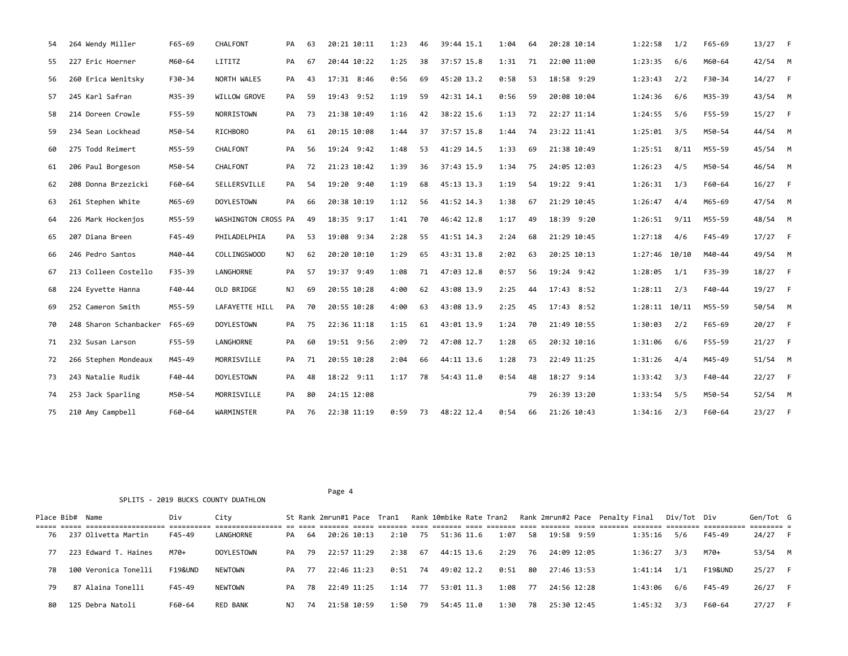| 227 Eric Hoerner<br>M60-64<br>LITITZ<br>67<br>20:44 10:22<br>1:25<br>38<br>37:57 15.8<br>71<br>22:00 11:00<br>1:23:35<br>6/6<br>55<br>PA<br>1:31<br>M60-64<br>F30-34<br>NORTH WALES<br>17:31 8:46<br>0:56<br>45:20 13.2<br>0:58<br>18:58 9:29<br>56<br>260 Erica Wenitsky<br>43<br>69<br>53<br>1:23:43<br>2/2<br>F30-34<br>PA<br>245 Karl Safran<br>M35-39<br>WILLOW GROVE<br>59<br>19:43 9:52<br>1:19<br>59<br>42:31 14.1<br>0:56<br>59<br>20:08 10:04<br>1:24:36<br>6/6<br>57<br>PA<br>M35-39<br>214 Doreen Crowle<br>F55-59<br>NORRISTOWN<br>21:38 10:49<br>1:16<br>38:22 15.6<br>22:27 11:14<br>1:24:55<br>F55-59<br>58<br>73<br>42<br>1:13<br>72<br>5/6<br>PA<br>234 Sean Lockhead<br>20:15 10:08<br>37:57 15.8<br>23:22 11:41<br>59<br>M50-54<br>RICHBORO<br>61<br>1:44<br>37<br>1:44<br>74<br>1:25:01<br>3/5<br>M50-54<br>PA<br>275 Todd Reimert<br>19:24 9:42<br>41:29 14.5<br>M55-59<br>CHALFONT<br>56<br>1:48<br>53<br>1:33<br>69<br>21:38 10:49<br>1:25:51<br>8/11<br>60<br>PA<br>M55-59<br>21:23 10:42<br>1:39<br>37:43 15.9<br>1:26:23<br>4/5<br>206 Paul Borgeson<br>M50-54<br>CHALFONT<br>72<br>36<br>1:34<br>75<br>24:05 12:03<br>M50-54<br>61<br>PA<br>19:20 9:40<br>45:13 13.3<br>208 Donna Brzezicki<br>F60-64<br>SELLERSVILLE<br>54<br>1:19<br>68<br>1:19<br>54<br>19:22 9:41<br>1:26:31<br>1/3<br>62<br>PA<br>F60-64<br>261 Stephen White<br><b>DOYLESTOWN</b><br>20:38 10:19<br>1:12<br>41:52 14.3<br>1:38<br>67<br>21:29 10:45<br>4/4<br>63<br>M65-69<br>66<br>56<br>1:26:47<br>M65-69<br>PA<br>18:35 9:17<br>18:39 9:20<br>226 Mark Hockenjos<br>M55-59<br>WASHINGTON CROSS PA<br>49<br>1:41<br>70<br>46:42 12.8<br>1:17<br>49<br>1:26:51<br>9/11<br>M55-59<br>64<br>PHILADELPHIA<br>19:08 9:34<br>2:28<br>41:51 14.3<br>21:29 10:45<br>1:27:18<br>65<br>207 Diana Breen<br>$F45 - 49$<br>PA<br>53<br>55<br>2:24<br>68<br>4/6<br>F45-49<br>20:20 10:10<br>43:31 13.8<br>20:25 10:13<br>246 Pedro Santos<br>M40-44<br>COLLINGSWOOD<br>62<br>1:29<br>65<br>2:02<br>63<br>1:27:46<br>10/10<br>66<br>NJ<br>M40-44<br>213 Colleen Costello<br>LANGHORNE<br>57<br>19:37 9:49<br>1:08<br>47:03 12.8<br>0:57<br>56<br>19:24 9:42<br>1:28:05<br>67<br>F35-39<br>PA<br>71<br>1/1<br>F35-39<br>224 Eyvette Hanna<br>F40-44<br>OLD BRIDGE<br>69<br>20:55 10:28<br>4:00<br>43:08 13.9<br>2:25<br>17:43 8:52<br>1:28:11<br>2/3<br>F40-44<br>68<br>NJ<br>62<br>44<br>20:55 10:28<br>43:08 13.9<br>69<br>252 Cameron Smith<br>M55-59<br>LAFAYETTE HILL<br>PA<br>70<br>4:00<br>63<br>2:25<br>45<br>17:43 8:52<br>$1:28:11$ $10/11$<br>M55-59<br>248 Sharon Schanbacker<br><b>DOYLESTOWN</b><br>75<br>22:36 11:18<br>43:01 13.9<br>70<br>21:49 10:55<br>1:30:03<br>70<br>F65-69<br>PA<br>1:15<br>61<br>1:24<br>2/2<br>F65-69<br>232 Susan Larson<br>F55-59<br>LANGHORNE<br>60<br>19:51 9:56<br>2:09<br>72<br>47:08 12.7<br>1:28<br>20:32 10:16<br>1:31:06<br>71<br>65<br>6/6<br>F55-59<br>PA<br>M45-49<br>MORRISVILLE<br>71<br>20:55 10:28<br>2:04<br>44:11 13.6<br>1:28<br>73<br>22:49 11:25<br>1:31:26<br>72<br>266 Stephen Mondeaux<br>PA<br>66<br>4/4<br>M45-49<br>243 Natalie Rudik<br><b>DOYLESTOWN</b><br>18:22 9:11<br>78<br>54:43 11.0<br>0:54<br>18:27 9:14<br>73<br>F40-44<br>48<br>1:17<br>48<br>1:33:42<br>3/3<br>F40-44<br>PA<br>24:15 12:08<br>253 Jack Sparling<br>M50-54<br>MORRISVILLE<br>80<br>26:39 13:20<br>1:33:54<br>5/5<br>M50-54<br>74<br>PA<br>79<br>WARMINSTER<br>48:22 12.4<br>75<br>210 Amy Campbell<br>F60-64<br>76<br>22:38 11:19<br>0:59<br>73<br>0:54<br>66<br>21:26 10:43<br>1:34:16<br>2/3<br>F60-64<br>PA | 54 | 264 Wendy Miller | $F65 - 69$ | CHALFONT | PA | 63 | 20:21 10:11 | 1:23 | 46 | 39:44 15.1 | 1:04 | 64 | 20:28 10:14 | 1:22:58 | 1/2 | $F65 - 69$ | 13/27     | $-F$ |
|-----------------------------------------------------------------------------------------------------------------------------------------------------------------------------------------------------------------------------------------------------------------------------------------------------------------------------------------------------------------------------------------------------------------------------------------------------------------------------------------------------------------------------------------------------------------------------------------------------------------------------------------------------------------------------------------------------------------------------------------------------------------------------------------------------------------------------------------------------------------------------------------------------------------------------------------------------------------------------------------------------------------------------------------------------------------------------------------------------------------------------------------------------------------------------------------------------------------------------------------------------------------------------------------------------------------------------------------------------------------------------------------------------------------------------------------------------------------------------------------------------------------------------------------------------------------------------------------------------------------------------------------------------------------------------------------------------------------------------------------------------------------------------------------------------------------------------------------------------------------------------------------------------------------------------------------------------------------------------------------------------------------------------------------------------------------------------------------------------------------------------------------------------------------------------------------------------------------------------------------------------------------------------------------------------------------------------------------------------------------------------------------------------------------------------------------------------------------------------------------------------------------------------------------------------------------------------------------------------------------------------------------------------------------------------------------------------------------------------------------------------------------------------------------------------------------------------------------------------------------------------------------------------------------------------------------------------------------------------------------------------------------------------------------------------------------------------------------------------------------------------------------------------------------------------------------------------------------------------------------------------------------------------------------------------------------------------------------------------------------------------------------------------------------------------------------------------------------------------------------------------------------------------------------------------|----|------------------|------------|----------|----|----|-------------|------|----|------------|------|----|-------------|---------|-----|------------|-----------|------|
|                                                                                                                                                                                                                                                                                                                                                                                                                                                                                                                                                                                                                                                                                                                                                                                                                                                                                                                                                                                                                                                                                                                                                                                                                                                                                                                                                                                                                                                                                                                                                                                                                                                                                                                                                                                                                                                                                                                                                                                                                                                                                                                                                                                                                                                                                                                                                                                                                                                                                                                                                                                                                                                                                                                                                                                                                                                                                                                                                                                                                                                                                                                                                                                                                                                                                                                                                                                                                                                                                                                                                     |    |                  |            |          |    |    |             |      |    |            |      |    |             |         |     |            | $42/54$ M |      |
|                                                                                                                                                                                                                                                                                                                                                                                                                                                                                                                                                                                                                                                                                                                                                                                                                                                                                                                                                                                                                                                                                                                                                                                                                                                                                                                                                                                                                                                                                                                                                                                                                                                                                                                                                                                                                                                                                                                                                                                                                                                                                                                                                                                                                                                                                                                                                                                                                                                                                                                                                                                                                                                                                                                                                                                                                                                                                                                                                                                                                                                                                                                                                                                                                                                                                                                                                                                                                                                                                                                                                     |    |                  |            |          |    |    |             |      |    |            |      |    |             |         |     |            | $14/27$ F |      |
|                                                                                                                                                                                                                                                                                                                                                                                                                                                                                                                                                                                                                                                                                                                                                                                                                                                                                                                                                                                                                                                                                                                                                                                                                                                                                                                                                                                                                                                                                                                                                                                                                                                                                                                                                                                                                                                                                                                                                                                                                                                                                                                                                                                                                                                                                                                                                                                                                                                                                                                                                                                                                                                                                                                                                                                                                                                                                                                                                                                                                                                                                                                                                                                                                                                                                                                                                                                                                                                                                                                                                     |    |                  |            |          |    |    |             |      |    |            |      |    |             |         |     |            | 43/54 M   |      |
|                                                                                                                                                                                                                                                                                                                                                                                                                                                                                                                                                                                                                                                                                                                                                                                                                                                                                                                                                                                                                                                                                                                                                                                                                                                                                                                                                                                                                                                                                                                                                                                                                                                                                                                                                                                                                                                                                                                                                                                                                                                                                                                                                                                                                                                                                                                                                                                                                                                                                                                                                                                                                                                                                                                                                                                                                                                                                                                                                                                                                                                                                                                                                                                                                                                                                                                                                                                                                                                                                                                                                     |    |                  |            |          |    |    |             |      |    |            |      |    |             |         |     |            | $15/27$ F |      |
|                                                                                                                                                                                                                                                                                                                                                                                                                                                                                                                                                                                                                                                                                                                                                                                                                                                                                                                                                                                                                                                                                                                                                                                                                                                                                                                                                                                                                                                                                                                                                                                                                                                                                                                                                                                                                                                                                                                                                                                                                                                                                                                                                                                                                                                                                                                                                                                                                                                                                                                                                                                                                                                                                                                                                                                                                                                                                                                                                                                                                                                                                                                                                                                                                                                                                                                                                                                                                                                                                                                                                     |    |                  |            |          |    |    |             |      |    |            |      |    |             |         |     |            | 44/54 M   |      |
|                                                                                                                                                                                                                                                                                                                                                                                                                                                                                                                                                                                                                                                                                                                                                                                                                                                                                                                                                                                                                                                                                                                                                                                                                                                                                                                                                                                                                                                                                                                                                                                                                                                                                                                                                                                                                                                                                                                                                                                                                                                                                                                                                                                                                                                                                                                                                                                                                                                                                                                                                                                                                                                                                                                                                                                                                                                                                                                                                                                                                                                                                                                                                                                                                                                                                                                                                                                                                                                                                                                                                     |    |                  |            |          |    |    |             |      |    |            |      |    |             |         |     |            | 45/54 M   |      |
|                                                                                                                                                                                                                                                                                                                                                                                                                                                                                                                                                                                                                                                                                                                                                                                                                                                                                                                                                                                                                                                                                                                                                                                                                                                                                                                                                                                                                                                                                                                                                                                                                                                                                                                                                                                                                                                                                                                                                                                                                                                                                                                                                                                                                                                                                                                                                                                                                                                                                                                                                                                                                                                                                                                                                                                                                                                                                                                                                                                                                                                                                                                                                                                                                                                                                                                                                                                                                                                                                                                                                     |    |                  |            |          |    |    |             |      |    |            |      |    |             |         |     |            | 46/54 M   |      |
|                                                                                                                                                                                                                                                                                                                                                                                                                                                                                                                                                                                                                                                                                                                                                                                                                                                                                                                                                                                                                                                                                                                                                                                                                                                                                                                                                                                                                                                                                                                                                                                                                                                                                                                                                                                                                                                                                                                                                                                                                                                                                                                                                                                                                                                                                                                                                                                                                                                                                                                                                                                                                                                                                                                                                                                                                                                                                                                                                                                                                                                                                                                                                                                                                                                                                                                                                                                                                                                                                                                                                     |    |                  |            |          |    |    |             |      |    |            |      |    |             |         |     |            | $16/27$ F |      |
|                                                                                                                                                                                                                                                                                                                                                                                                                                                                                                                                                                                                                                                                                                                                                                                                                                                                                                                                                                                                                                                                                                                                                                                                                                                                                                                                                                                                                                                                                                                                                                                                                                                                                                                                                                                                                                                                                                                                                                                                                                                                                                                                                                                                                                                                                                                                                                                                                                                                                                                                                                                                                                                                                                                                                                                                                                                                                                                                                                                                                                                                                                                                                                                                                                                                                                                                                                                                                                                                                                                                                     |    |                  |            |          |    |    |             |      |    |            |      |    |             |         |     |            | 47/54 M   |      |
|                                                                                                                                                                                                                                                                                                                                                                                                                                                                                                                                                                                                                                                                                                                                                                                                                                                                                                                                                                                                                                                                                                                                                                                                                                                                                                                                                                                                                                                                                                                                                                                                                                                                                                                                                                                                                                                                                                                                                                                                                                                                                                                                                                                                                                                                                                                                                                                                                                                                                                                                                                                                                                                                                                                                                                                                                                                                                                                                                                                                                                                                                                                                                                                                                                                                                                                                                                                                                                                                                                                                                     |    |                  |            |          |    |    |             |      |    |            |      |    |             |         |     |            | 48/54 M   |      |
|                                                                                                                                                                                                                                                                                                                                                                                                                                                                                                                                                                                                                                                                                                                                                                                                                                                                                                                                                                                                                                                                                                                                                                                                                                                                                                                                                                                                                                                                                                                                                                                                                                                                                                                                                                                                                                                                                                                                                                                                                                                                                                                                                                                                                                                                                                                                                                                                                                                                                                                                                                                                                                                                                                                                                                                                                                                                                                                                                                                                                                                                                                                                                                                                                                                                                                                                                                                                                                                                                                                                                     |    |                  |            |          |    |    |             |      |    |            |      |    |             |         |     |            | $17/27$ F |      |
|                                                                                                                                                                                                                                                                                                                                                                                                                                                                                                                                                                                                                                                                                                                                                                                                                                                                                                                                                                                                                                                                                                                                                                                                                                                                                                                                                                                                                                                                                                                                                                                                                                                                                                                                                                                                                                                                                                                                                                                                                                                                                                                                                                                                                                                                                                                                                                                                                                                                                                                                                                                                                                                                                                                                                                                                                                                                                                                                                                                                                                                                                                                                                                                                                                                                                                                                                                                                                                                                                                                                                     |    |                  |            |          |    |    |             |      |    |            |      |    |             |         |     |            | 49/54 M   |      |
|                                                                                                                                                                                                                                                                                                                                                                                                                                                                                                                                                                                                                                                                                                                                                                                                                                                                                                                                                                                                                                                                                                                                                                                                                                                                                                                                                                                                                                                                                                                                                                                                                                                                                                                                                                                                                                                                                                                                                                                                                                                                                                                                                                                                                                                                                                                                                                                                                                                                                                                                                                                                                                                                                                                                                                                                                                                                                                                                                                                                                                                                                                                                                                                                                                                                                                                                                                                                                                                                                                                                                     |    |                  |            |          |    |    |             |      |    |            |      |    |             |         |     |            | $18/27$ F |      |
|                                                                                                                                                                                                                                                                                                                                                                                                                                                                                                                                                                                                                                                                                                                                                                                                                                                                                                                                                                                                                                                                                                                                                                                                                                                                                                                                                                                                                                                                                                                                                                                                                                                                                                                                                                                                                                                                                                                                                                                                                                                                                                                                                                                                                                                                                                                                                                                                                                                                                                                                                                                                                                                                                                                                                                                                                                                                                                                                                                                                                                                                                                                                                                                                                                                                                                                                                                                                                                                                                                                                                     |    |                  |            |          |    |    |             |      |    |            |      |    |             |         |     |            | $19/27$ F |      |
|                                                                                                                                                                                                                                                                                                                                                                                                                                                                                                                                                                                                                                                                                                                                                                                                                                                                                                                                                                                                                                                                                                                                                                                                                                                                                                                                                                                                                                                                                                                                                                                                                                                                                                                                                                                                                                                                                                                                                                                                                                                                                                                                                                                                                                                                                                                                                                                                                                                                                                                                                                                                                                                                                                                                                                                                                                                                                                                                                                                                                                                                                                                                                                                                                                                                                                                                                                                                                                                                                                                                                     |    |                  |            |          |    |    |             |      |    |            |      |    |             |         |     |            | 50/54 M   |      |
|                                                                                                                                                                                                                                                                                                                                                                                                                                                                                                                                                                                                                                                                                                                                                                                                                                                                                                                                                                                                                                                                                                                                                                                                                                                                                                                                                                                                                                                                                                                                                                                                                                                                                                                                                                                                                                                                                                                                                                                                                                                                                                                                                                                                                                                                                                                                                                                                                                                                                                                                                                                                                                                                                                                                                                                                                                                                                                                                                                                                                                                                                                                                                                                                                                                                                                                                                                                                                                                                                                                                                     |    |                  |            |          |    |    |             |      |    |            |      |    |             |         |     |            | 20/27 F   |      |
|                                                                                                                                                                                                                                                                                                                                                                                                                                                                                                                                                                                                                                                                                                                                                                                                                                                                                                                                                                                                                                                                                                                                                                                                                                                                                                                                                                                                                                                                                                                                                                                                                                                                                                                                                                                                                                                                                                                                                                                                                                                                                                                                                                                                                                                                                                                                                                                                                                                                                                                                                                                                                                                                                                                                                                                                                                                                                                                                                                                                                                                                                                                                                                                                                                                                                                                                                                                                                                                                                                                                                     |    |                  |            |          |    |    |             |      |    |            |      |    |             |         |     |            | $21/27$ F |      |
|                                                                                                                                                                                                                                                                                                                                                                                                                                                                                                                                                                                                                                                                                                                                                                                                                                                                                                                                                                                                                                                                                                                                                                                                                                                                                                                                                                                                                                                                                                                                                                                                                                                                                                                                                                                                                                                                                                                                                                                                                                                                                                                                                                                                                                                                                                                                                                                                                                                                                                                                                                                                                                                                                                                                                                                                                                                                                                                                                                                                                                                                                                                                                                                                                                                                                                                                                                                                                                                                                                                                                     |    |                  |            |          |    |    |             |      |    |            |      |    |             |         |     |            | 51/54 M   |      |
|                                                                                                                                                                                                                                                                                                                                                                                                                                                                                                                                                                                                                                                                                                                                                                                                                                                                                                                                                                                                                                                                                                                                                                                                                                                                                                                                                                                                                                                                                                                                                                                                                                                                                                                                                                                                                                                                                                                                                                                                                                                                                                                                                                                                                                                                                                                                                                                                                                                                                                                                                                                                                                                                                                                                                                                                                                                                                                                                                                                                                                                                                                                                                                                                                                                                                                                                                                                                                                                                                                                                                     |    |                  |            |          |    |    |             |      |    |            |      |    |             |         |     |            | $22/27$ F |      |
|                                                                                                                                                                                                                                                                                                                                                                                                                                                                                                                                                                                                                                                                                                                                                                                                                                                                                                                                                                                                                                                                                                                                                                                                                                                                                                                                                                                                                                                                                                                                                                                                                                                                                                                                                                                                                                                                                                                                                                                                                                                                                                                                                                                                                                                                                                                                                                                                                                                                                                                                                                                                                                                                                                                                                                                                                                                                                                                                                                                                                                                                                                                                                                                                                                                                                                                                                                                                                                                                                                                                                     |    |                  |            |          |    |    |             |      |    |            |      |    |             |         |     |            | 52/54 M   |      |
|                                                                                                                                                                                                                                                                                                                                                                                                                                                                                                                                                                                                                                                                                                                                                                                                                                                                                                                                                                                                                                                                                                                                                                                                                                                                                                                                                                                                                                                                                                                                                                                                                                                                                                                                                                                                                                                                                                                                                                                                                                                                                                                                                                                                                                                                                                                                                                                                                                                                                                                                                                                                                                                                                                                                                                                                                                                                                                                                                                                                                                                                                                                                                                                                                                                                                                                                                                                                                                                                                                                                                     |    |                  |            |          |    |    |             |      |    |            |      |    |             |         |     |            | $23/27$ F |      |

Page 4 SPLITS - 2019 BUCKS COUNTY DUATHLON

|    | Place Bib# Name |                      | Div                | Citv           |       |       |             |           |      |            |         |         | St Rank 2mrun#1 Pace Tran1 Rank 10mbike Rate Tran2 Rank 2mrun#2 Pace Penalty Final |  |         | Div/Tot Div |                    | Gen/Tot G |  |
|----|-----------------|----------------------|--------------------|----------------|-------|-------|-------------|-----------|------|------------|---------|---------|------------------------------------------------------------------------------------|--|---------|-------------|--------------------|-----------|--|
| 76 |                 | 237 Olivetta Martin  | F45-49             | LANGHORNE      | PA 64 |       | 20:26 10:13 | 2:10 75   |      | 51:36 11.6 | 1:07    | 58      | 19:58 9:59                                                                         |  | 1:35:16 | 5/6         | F45-49             | 24/27 F   |  |
| 77 |                 | 223 Edward T. Haines | M70+               | DOYLESTOWN     | PA 79 |       | 22:57 11:29 | 2:38 67   |      | 44:15 13.6 |         |         | 2:29 76 24:09 12:05                                                                |  | 1:36:27 | 3/3         | M70+               | 53/54 M   |  |
| 78 |                 | 100 Veronica Tonelli | <b>F19&amp;UND</b> | <b>NEWTOWN</b> | PA 77 |       | 22:46 11:23 | 0:51 74   |      | 49:02 12.2 | 0:51 80 |         | 27:46 13:53                                                                        |  | 1:41:14 | 1/1         | <b>F19&amp;UND</b> | 25/27 F   |  |
| 79 |                 | 87 Alaina Tonelli    | F45-49             | <b>NEWTOWN</b> |       | PA 78 | 22:49 11:25 | $1:14$ 77 |      | 53:01 11.3 |         | 1:08 77 | 24:56 12:28                                                                        |  | 1:43:06 | 6/6         | F45-49             | 26/27 F   |  |
| 80 |                 | 125 Debra Natoli     | F60-64             | RED BANK       | NJ    | 74    | 21:58 10:59 | 1:50      | - 79 | 54:45 11.0 | 1:30    | - 78    | 25:30 12:45                                                                        |  | 1:45:32 | 3/3         | F60-64             | $27/27$ F |  |